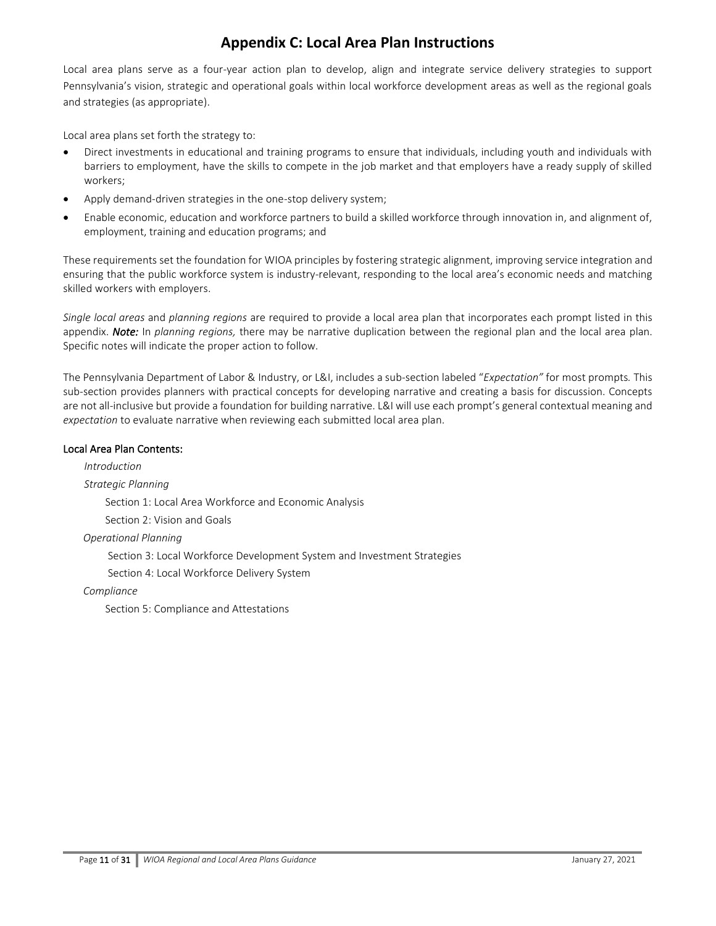Local area plans serve as a four-year action plan to develop, align and integrate service delivery strategies to support Pennsylvania's vision, strategic and operational goals within local workforce development areas as well as the regional goals and strategies (as appropriate).

Local area plans set forth the strategy to:

- Direct investments in educational and training programs to ensure that individuals, including youth and individuals with barriers to employment, have the skills to compete in the job market and that employers have a ready supply of skilled workers;
- Apply demand-driven strategies in the one-stop delivery system;
- Enable economic, education and workforce partners to build a skilled workforce through innovation in, and alignment of, employment, training and education programs; and

These requirements set the foundation for WIOA principles by fostering strategic alignment, improving service integration and ensuring that the public workforce system is industry-relevant, responding to the local area's economic needs and matching skilled workers with employers.

*Single local areas* and *planning regions* are required to provide a local area plan that incorporates each prompt listed in this appendix. *Note:* In *planning regions,* there may be narrative duplication between the regional plan and the local area plan. Specific notes will indicate the proper action to follow.

The Pennsylvania Department of Labor & Industry, or L&I, includes a sub-section labeled "*Expectation"* for most prompts*.* This sub-section provides planners with practical concepts for developing narrative and creating a basis for discussion. Concepts are not all-inclusive but provide a foundation for building narrative. L&I will use each prompt's general contextual meaning and *expectation* to evaluate narrative when reviewing each submitted local area plan.

### Local Area Plan Contents:

 *Introduction Strategic Planning* Section 1: Local Area Workforce and Economic Analysis Section 2: Vision and Goals

*Operational Planning*

Section 3: Local Workforce Development System and Investment Strategies

Section 4: Local Workforce Delivery System

*Compliance*

Section 5: Compliance and Attestations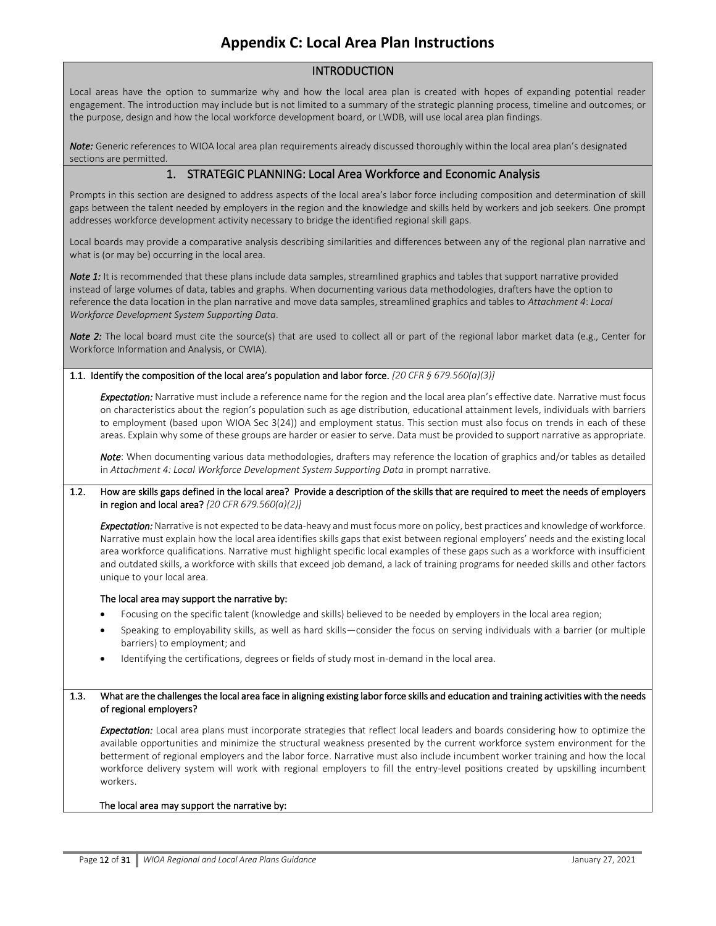## INTRODUCTION

Local areas have the option to summarize why and how the local area plan is created with hopes of expanding potential reader engagement. The introduction may include but is not limited to a summary of the strategic planning process, timeline and outcomes; or the purpose, design and how the local workforce development board, or LWDB, will use local area plan findings.

*Note:* Generic references to WIOA local area plan requirements already discussed thoroughly within the local area plan's designated sections are permitted.

## 1. STRATEGIC PLANNING: Local Area Workforce and Economic Analysis

Prompts in this section are designed to address aspects of the local area's labor force including composition and determination of skill gaps between the talent needed by employers in the region and the knowledge and skills held by workers and job seekers. One prompt addresses workforce development activity necessary to bridge the identified regional skill gaps.

Local boards may provide a comparative analysis describing similarities and differences between any of the regional plan narrative and what is (or may be) occurring in the local area.

*Note 1:* It is recommended that these plans include data samples, streamlined graphics and tables that support narrative provided instead of large volumes of data, tables and graphs. When documenting various data methodologies, drafters have the option to reference the data location in the plan narrative and move data samples, streamlined graphics and tables to *Attachment 4*: *Local Workforce Development System Supporting Data*.

*Note 2*: The local board must cite the source(s) that are used to collect all or part of the regional labor market data (e.g., Center for Workforce Information and Analysis, or CWIA).

#### 1.1. Identify the composition of the local area's population and labor force. *[20 CFR § 679.560(a)(3)]*

*Expectation:* Narrative must include a reference name for the region and the local area plan's effective date.Narrative must focus on characteristics about the region's population such as age distribution, educational attainment levels, individuals with barriers to employment (based upon WIOA Sec 3(24)) and employment status. This section must also focus on trends in each of these areas. Explain why some of these groups are harder or easier to serve. Data must be provided to support narrative as appropriate.

*Note*: When documenting various data methodologies, drafters may reference the location of graphics and/or tables as detailed in *Attachment 4: Local Workforce Development System Supporting Data* in prompt narrative.

#### 1.2. How are skills gaps defined in the local area? Provide a description of the skills that are required to meet the needs of employers in region and local area? *[20 CFR 679.560(a)(2)]*

*Expectation:* Narrative is not expected to be data-heavy and must focus more on policy, best practices and knowledge of workforce. Narrative must explain how the local area identifies skills gaps that exist between regional employers' needs and the existing local area workforce qualifications. Narrative must highlight specific local examples of these gaps such as a workforce with insufficient and outdated skills, a workforce with skills that exceed job demand, a lack of training programs for needed skills and other factors unique to your local area.

#### The local area may support the narrative by:

- Focusing on the specific talent (knowledge and skills) believed to be needed by employers in the local area region;
- Speaking to employability skills, as well as hard skills—consider the focus on serving individuals with a barrier (or multiple barriers) to employment; and
- Identifying the certifications, degrees or fields of study most in-demand in the local area.

#### 1.3. What are the challenges the local area face in aligning existing labor force skills and education and training activities with the needs of regional employers?

*Expectation:* Local area plans must incorporate strategies that reflect local leaders and boards considering how to optimize the available opportunities and minimize the structural weakness presented by the current workforce system environment for the betterment of regional employers and the labor force. Narrative must also include incumbent worker training and how the local workforce delivery system will work with regional employers to fill the entry-level positions created by upskilling incumbent workers.

#### The local area may support the narrative by: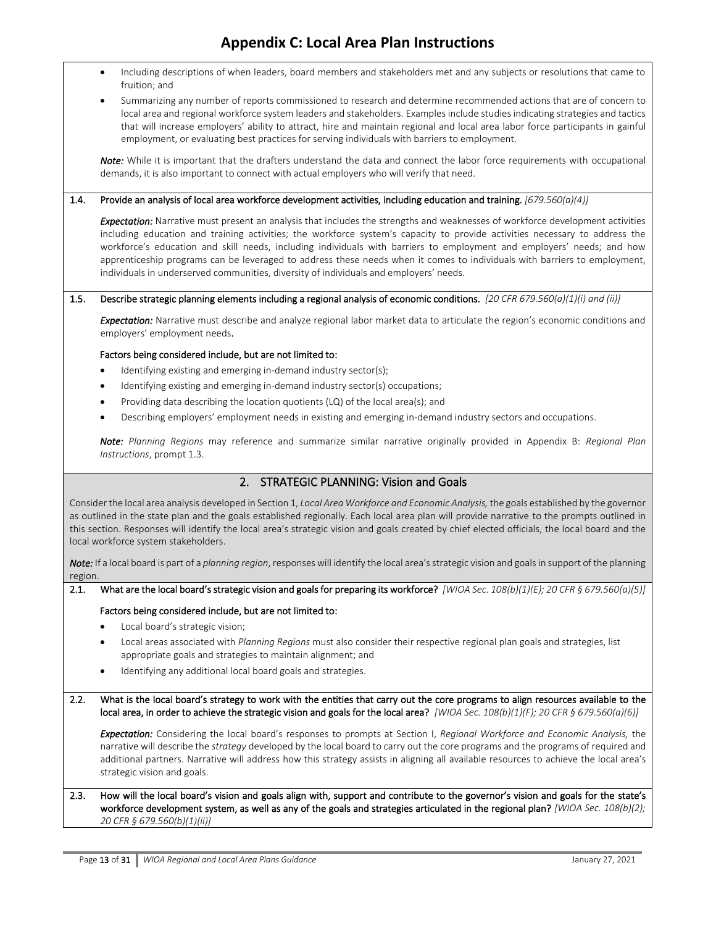- Including descriptions of when leaders, board members and stakeholders met and any subjects or resolutions that came to fruition; and
- Summarizing any number of reports commissioned to research and determine recommended actions that are of concern to local area and regional workforce system leaders and stakeholders. Examples include studies indicating strategies and tactics that will increase employers' ability to attract, hire and maintain regional and local area labor force participants in gainful employment, or evaluating best practices for serving individuals with barriers to employment.

*Note:* While it is important that the drafters understand the data and connect the labor force requirements with occupational demands, it is also important to connect with actual employers who will verify that need.

#### 1.4. Provide an analysis of local area workforce development activities, including education and training. *[679.560(a)(4)]*

*Expectation:* Narrative must present an analysis that includes the strengths and weaknesses of workforce development activities including education and training activities; the workforce system's capacity to provide activities necessary to address the workforce's education and skill needs, including individuals with barriers to employment and employers' needs; and how apprenticeship programs can be leveraged to address these needs when it comes to individuals with barriers to employment, individuals in underserved communities, diversity of individuals and employers' needs.

#### 1.5. Describe strategic planning elements including a regional analysis of economic conditions. *[20 CFR 679.560(a)(1)(i) and (ii)]*

*Expectation:* Narrative must describe and analyze regional labor market data to articulate the region's economic conditions and employers' employment needs.

#### Factors being considered include, but are not limited to:

- Identifying existing and emerging in-demand industry sector(s);
- Identifying existing and emerging in-demand industry sector(s) occupations;
- Providing data describing the location quotients (LQ) of the local area(s); and
- Describing employers' employment needs in existing and emerging in-demand industry sectors and occupations.

*Note: Planning Regions* may reference and summarize similar narrative originally provided in Appendix B: *Regional Plan Instructions*, prompt 1.3.

## 2. STRATEGIC PLANNING: Vision and Goals

Consider the local area analysis developed in Section 1, *Local Area Workforce and Economic Analysis,* the goals established by the governor as outlined in the state plan and the goals established regionally. Each local area plan will provide narrative to the prompts outlined in this section. Responses will identify the local area's strategic vision and goals created by chief elected officials, the local board and the local workforce system stakeholders.

*Note:* If a local board is part of a *[planning region](file:///P:/PROGRAMS/BWDA/Planning/Working%20Policies%20and%20Guidance/Workforce%20System%20Policies%20(Working)/Multi-Year%20Regional-Local%20Planning/17_0214%20Questions%20Only%20(For%20Reviewers)-Whitepm.docx%23PlanningRegion)*, responses will identify the local area's strategic vision and goals in support of the planning region.

#### 2.1. What are the local board's strategic vision and goals for preparing its workforce? *[WIOA Sec. 108(b)(1)(E); 20 CFR § 679.560(a)(5)]*

#### Factors being considered include, but are not limited to:

- Local board's strategic vision;
- Local areas associated with *Planning Regions* must also consider their respective regional plan goals and strategies, list appropriate goals and strategies to maintain alignment; and
- Identifying any additional local board goals and strategies.
- 2.2. What is the local board's strategy to work with the entities that carry out the core programs to align resources available to the local area, in order to achieve the strategic vision and goals for the local area? *[WIOA Sec. 108(b)(1)(F); 20 CFR § 679.560(a)(6)]*

*Expectation:* Considering the local board's responses to prompts at Section I, *Regional Workforce and Economic Analysis,* the narrative will describe the *strategy* developed by the local board to carry out the core [programs](file:///P:/PROGRAMS/BWDA/Planning/Working%20Policies%20and%20Guidance/Workforce%20System%20Policies%20(Working)/Multi-Year%20Regional-Local%20Planning/17_0214%20Questions%20Only%20(For%20Reviewers)-Whitepm.docx%23Requiredprograms) and the programs of [required](file:///P:/PROGRAMS/BWDA/Planning/Working%20Policies%20and%20Guidance/Workforce%20System%20Policies%20(Working)/Multi-Year%20Regional-Local%20Planning/17_0214%20Questions%20Only%20(For%20Reviewers)-Whitepm.docx%23Requiredprograms) and [additional](file:///P:/PROGRAMS/BWDA/Planning/Working%20Policies%20and%20Guidance/Workforce%20System%20Policies%20(Working)/Multi-Year%20Regional-Local%20Planning/17_0214%20Questions%20Only%20(For%20Reviewers)-Whitepm.docx%23Requiredprograms) partners. Narrative will address how this strategy assists in aligning all available resources to achieve the local area's strategic vision and goals.

#### 2.3. How will the local board's vision and goals align with, support and contribute to the governor's vision and goals for the state's workforce development system, as well as any of the goals and strategies articulated in the regional plan? *[WIOA Sec. 108(b)(2); 20 CFR § 679.560(b)(1)(ii)]*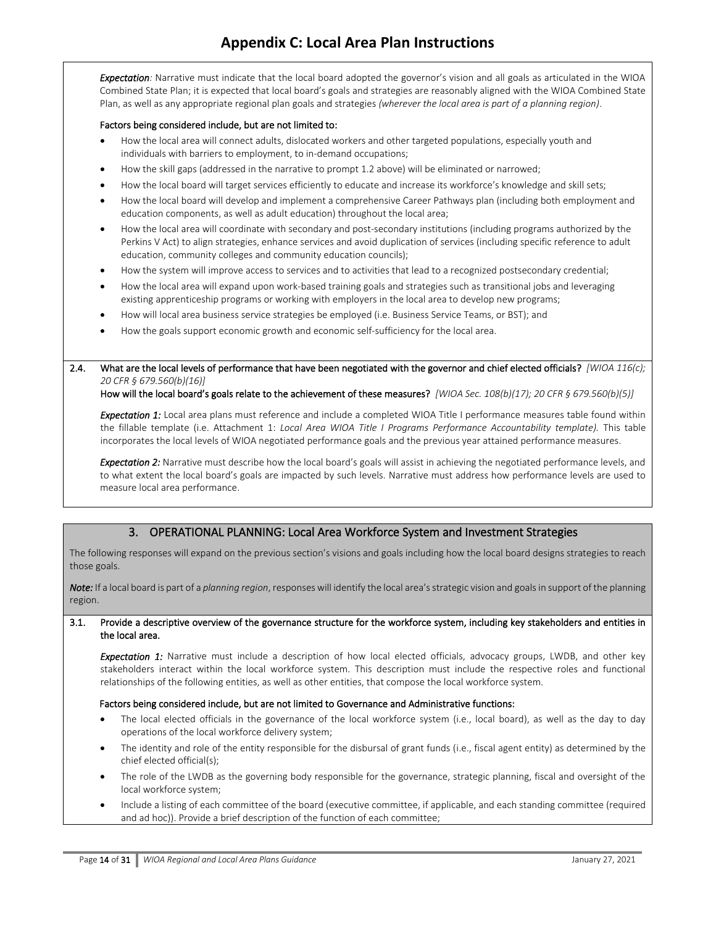*Expectation:* Narrative must indicate that the local board adopted the governor's vision and all goals as articulated in the WIOA Combined State Plan; it is expected that local board's goals and strategies are reasonably aligned with the WIOA Combined State Plan, as well as any appropriate regional plan goals and strategies *(wherever the local area is part of a planning region)*.

#### Factors being considered include, but are not limited to:

- How the local area will connect adults, dislocated workers and other targeted populations, especially youth and individuals with barriers to employment, to in-demand occupations;
- How the skill gaps (addressed in the narrative to prompt 1.2 above) will be eliminated or narrowed;
- How the local board will target services efficiently to educate and increase its workforce's knowledge and skill sets;
- How the local board will develop and implement a comprehensive Career Pathways plan (including both employment and education components, as well as adult education) throughout the local area;
- How the local area will coordinate with secondary and post-secondary institutions (including programs authorized by the Perkins V Act) to align strategies, enhance services and avoid duplication of services (including specific reference to adult education, community colleges and community education councils);
- How the system will improve access to services and to activities that lead to a recognized postsecondary credential;
- How the local area will expand upon work-based training goals and strategies such as transitional jobs and leveraging existing apprenticeship programs or working with employers in the local area to develop new programs;
- How will local area business service strategies be employed (i.e. Business Service Teams, or BST); and
- How the goals support economic growth and economic self-sufficiency for the local area.

2.4. What are the local levels of performance that have been negotiated with the governor and chief elected officials? *[WIOA 116(c); 20 CFR § 679.560(b)(16)]* 

How will the local board's goals relate to the achievement of these measures? *[WIOA Sec. 108(b)(17); 20 CFR § 679.560(b)(5)]*

*Expectation 1:* Local area plans must reference and include a completed WIOA Title I performance measures table found within the fillable template (i.e. Attachment 1: *Local Area WIOA Title I Programs Performance Accountability template).* This table incorporates the local levels of WIOA negotiated performance goals and the previous year attained performance measures.

*Expectation 2:* Narrative must describe how the local board's goals will assist in achieving the negotiated performance levels, and to what extent the local board's goals are impacted by such levels. Narrative must address how performance levels are used to measure local area performance.

### 3. OPERATIONAL PLANNING: Local Area Workforce System and Investment Strategies

The following responses will expand on the previous section's visions and goals including how the local board designs strategies to reach those goals.

*Note:* If a local board is part of a *[planning region](file:///P:/PROGRAMS/BWDA/Planning/Working%20Policies%20and%20Guidance/Workforce%20System%20Policies%20(Working)/Multi-Year%20Regional-Local%20Planning/17_0214%20Questions%20Only%20(For%20Reviewers)-Whitepm.docx%23PlanningRegion)*, responses will identify the local area's strategic vision and goals in support of the planning region.

#### 3.1. Provide a descriptive overview of the governance structure for the workforce system, including key stakeholders and entities in the local area.

*Expectation 1:* Narrative must include a description of how local elected officials, advocacy groups, LWDB, and other key stakeholders interact within the local workforce system. This description must include the respective roles and functional relationships of the following entities, as well as other entities, that compose the local workforce system.

#### Factors being considered include, but are not limited to Governance and Administrative functions:

- The local elected officials in the governance of the local workforce system (i.e., local board), as well as the day to day operations of the local workforce delivery system;
- The identity and role of the entity responsible for the disbursal of grant funds (i.e., fiscal agent entity) as determined by the chief elected official(s);
- The role of the LWDB as the governing body responsible for the governance, strategic planning, fiscal and oversight of the local workforce system;
- Include a listing of each committee of the board (executive committee, if applicable, and each standing committee (required and ad hoc)). Provide a brief description of the function of each committee;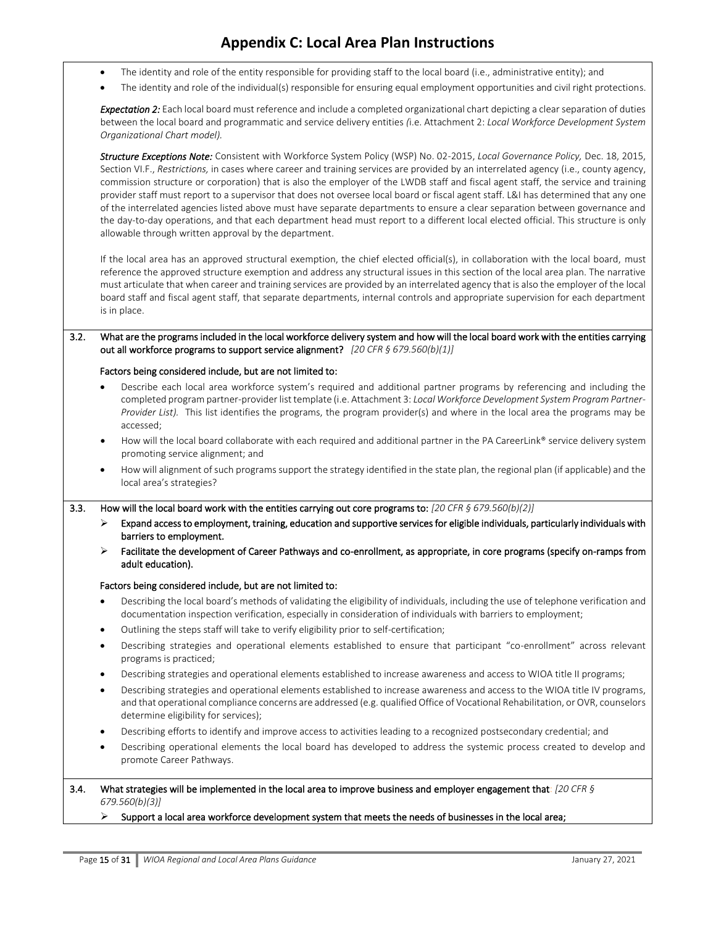- The identity and role of the entity responsible for providing staff to the local board (i.e., administrative entity); and
- The identity and role of the individual(s) responsible for ensuring equal employment opportunities and civil right protections.

*Expectation 2:* Each local board must reference and include a completed organizational chart depicting a clear separation of duties between the local board and programmatic and service delivery entities *(*i.e. Attachment 2: *Local Workforce Development System Organizational Chart model).* 

*Structure Exceptions Note:* Consistent with Workforce System Policy (WSP) No. 02-2015, *Local Governance Policy,* Dec. 18, 2015, Section VI.F., *Restrictions,* in cases where career and training services are provided by an interrelated agency (i.e., county agency, commission structure or corporation) that is also the employer of the LWDB staff and fiscal agent staff, the service and training provider staff must report to a supervisor that does not oversee local board or fiscal agent staff. L&I has determined that any one of the interrelated agencies listed above must have separate departments to ensure a clear separation between governance and the day-to-day operations, and that each department head must report to a different local elected official. This structure is only allowable through written approval by the department.

If the local area has an approved structural exemption, the chief elected official(s), in collaboration with the local board, must reference the approved structure exemption and address any structural issues in this section of the local area plan. The narrative must articulate that when career and training services are provided by an interrelated agency that is also the employer of the local board staff and fiscal agent staff, that separate departments, internal controls and appropriate supervision for each department is in place.

#### 3.2. What are the programs included in the local workforce delivery system and how will the local board work with the entities carrying out all workforce programs to support service alignment? *[20 CFR § 679.560(b)(1)]*

#### Factors being considered include, but are not limited to:

- Describe each local area workforce system's required and additional partner programs by referencing and including the completed program partner-provider list template (i.e. Attachment 3: *Local Workforce Development System Program Partner-Provider List).* This list identifies the programs, the program provider(s) and where in the local area the programs may be accessed;
- How will the local board collaborate with each required and additional partner in the PA CareerLink® service delivery system promoting service alignment; and
- How will alignment of such programs support the strategy identified in the state plan, the regional plan (if applicable) and the local area's strategies?

3.3. How will the local board work with the entities carrying out core programs to: *[20 CFR § 679.560(b)(2)]*

- ➢ Expand access to employment, training, education and supportive services for eligible individuals, particularly individuals with barriers to employment.
- ➢ Facilitate the development of Career Pathways and co-enrollment, as appropriate, in core programs (specify on-ramps from adult education).

#### Factors being considered include, but are not limited to:

- Describing the local board's methods of validating the eligibility of individuals, including the use of telephone verification and documentation inspection verification, especially in consideration of individuals with barriers to employment;
- Outlining the steps staff will take to verify eligibility prior to self-certification;
- Describing strategies and operational elements established to ensure that participant "co-enrollment" across relevant programs is practiced;
- Describing strategies and operational elements established to increase awareness and access to WIOA title II programs;
- Describing strategies and operational elements established to increase awareness and access to the WIOA title IV programs, and that operational compliance concerns are addressed (e.g. qualified Office of Vocational Rehabilitation, or OVR, counselors determine eligibility for services);
- Describing efforts to identify and improve access to activities leading to a recognized postsecondary credential; and
- Describing operational elements the local board has developed to address the systemic process created to develop and promote Career Pathways.

#### 3.4. What strategies will be implemented in the local area to improve business and employer engagement that: *[20 CFR § 679.560(b)(3)]*

#### $\triangleright$  Support a local area workforce development system that meets the needs of businesses in the local area;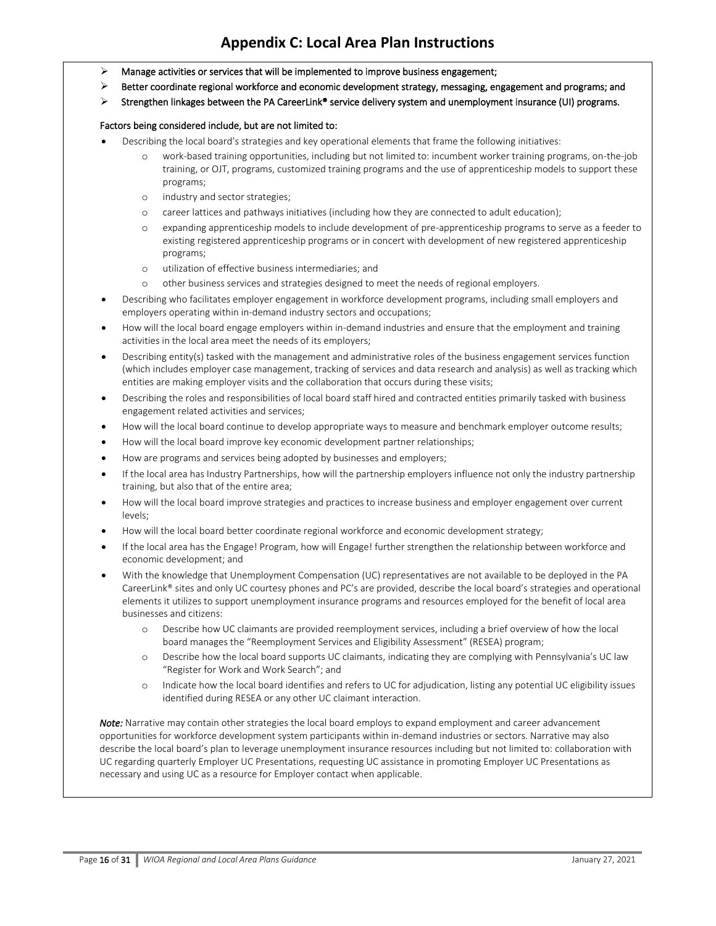- $\triangleright$  Manage activities or services that will be implemented to improve business engagement;
- $\triangleright$  Better coordinate regional workforce and economic development strategy, messaging, engagement and programs; and
- $\triangleright$  Strengthen linkages between the PA CareerLink® service delivery system and unemployment insurance (UI) programs.

#### Factors being considered include, but are not limited to:

- Describing the local board's strategies and key operational elements that frame the following initiatives:
	- work-based training opportunities, including but not limited to: incumbent worker training programs, on-the-job training, or OJT, programs, customized training programs and the use of apprenticeship models to support these programs;
	- o industry and sector strategies;
	- o career lattices and pathways initiatives (including how they are connected to adult education);
	- o expanding apprenticeship models to include development of pre-apprenticeship programs to serve as a feeder to existing registered apprenticeship programs or in concert with development of new registered apprenticeship programs;
	- o utilization of effective business intermediaries; and
	- o other business services and strategies designed to meet the needs of regional employers.
- Describing who facilitates employer engagement in workforce development programs, including small employers and employers operating within in-demand industry sectors and occupations;
- How will the local board engage employers within in-demand industries and ensure that the employment and training activities in the local area meet the needs of its employers;
- Describing entity(s) tasked with the management and administrative roles of the business engagement services function (which includes employer case management, tracking of services and data research and analysis) as well as tracking which entities are making employer visits and the collaboration that occurs during these visits;
- Describing the roles and responsibilities of local board staff hired and contracted entities primarily tasked with business engagement related activities and services;
- How will the local board continue to develop appropriate ways to measure and benchmark employer outcome results;
- How will the local board improve key economic development partner relationships;
- How are programs and services being adopted by businesses and employers;
- If the local area has Industry Partnerships, how will the partnership employers influence not only the industry partnership training, but also that of the entire area;
- How will the local board improve strategies and practices to increase business and employer engagement over current levels;
- How will the local board better coordinate regional workforce and economic development strategy;
- If the local area has the Engage! Program, how will Engage! further strengthen the relationship between workforce and economic development; and
- With the knowledge that Unemployment Compensation (UC) representatives are not available to be deployed in the PA CareerLink® sites and only UC courtesy phones and PC's are provided, describe the local board's strategies and operational elements it utilizes to support unemployment insurance programs and resources employed for the benefit of local area businesses and citizens:
	- o Describe how UC claimants are provided reemployment services, including a brief overview of how the local board manages the "Reemployment Services and Eligibility Assessment" (RESEA) program;
	- o Describe how the local board supports UC claimants, indicating they are complying with Pennsylvania's UC law "Register for Work and Work Search"; and
	- o Indicate how the local board identifies and refers to UC for adjudication, listing any potential UC eligibility issues identified during RESEA or any other UC claimant interaction.

*Note:* Narrative may contain other strategies the local board employs to expand employment and career advancement opportunities for workforce development system participants within in-demand industries or sectors. Narrative may also describe the local board's plan to leverage unemployment insurance resources including but not limited to: collaboration with UC regarding quarterly Employer UC Presentations, requesting UC assistance in promoting Employer UC Presentations as necessary and using UC as a resource for Employer contact when applicable.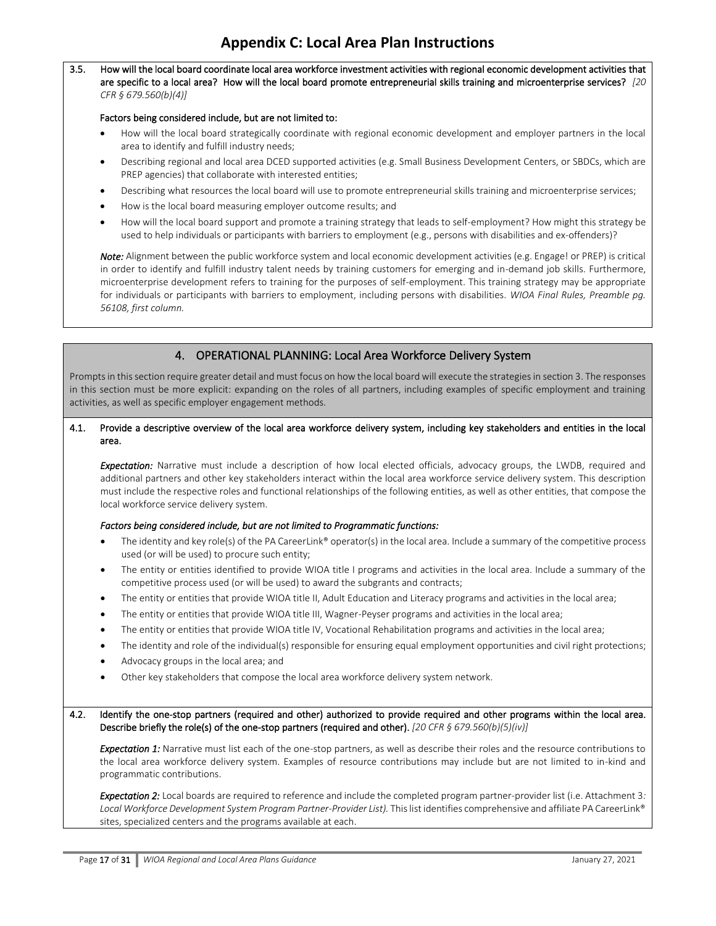#### 3.5. How will the local board coordinate local area workforce investment activities with regional economic development activities that are specific to a local area? How will the local board promote entrepreneurial skills training and microenterprise services? *[20 CFR § 679.560(b)(4)]*

#### Factors being considered include, but are not limited to:

- How will the local board strategically coordinate with regional economic development and employer partners in the local area to identify and fulfill industry needs;
- Describing regional and local area DCED supported activities (e.g. Small Business Development Centers, or SBDCs, which are PREP agencies) that collaborate with interested entities;
- Describing what resources the local board will use to promote entrepreneurial skills training and microenterprise services;
- How is the local board measuring employer outcome results; and
- How will the local board support and promote a training strategy that leads to self-employment? How might this strategy be used to help individuals or participants with barriers to employment (e.g., persons with disabilities and ex-offenders)?

*Note:* Alignment between the public workforce system and local economic development activities (e.g. Engage! or PREP) is critical in order to identify and fulfill industry talent needs by training customers for emerging and in-demand job skills. Furthermore, microenterprise development refers to training for the purposes of self-employment. This training strategy may be appropriate for individuals or participants with barriers to employment, including persons with disabilities. *WIOA Final Rules, Preamble pg. 56108, first column.*

### 4. OPERATIONAL PLANNING: Local Area Workforce Delivery System

Prompts in this section require greater detail and must focus on how the local board will execute the strategies in section 3. The responses in this section must be more explicit: expanding on the roles of all partners, including examples of specific employment and training activities, as well as specific employer engagement methods.

#### 4.1. Provide a descriptive overview of the local area workforce delivery system, including key stakeholders and entities in the local area.

*Expectation:* Narrative must include a description of how local elected officials, advocacy groups, the LWDB, required and additional partners and other key stakeholders interact within the local area workforce service delivery system. This description must include the respective roles and functional relationships of the following entities, as well as other entities, that compose the local workforce service delivery system.

#### *Factors being considered include, but are not limited to Programmatic functions:*

- The identity and key role(s) of the PA CareerLink® operator(s) in the local area. Include a summary of the competitive process used (or will be used) to procure such entity;
- The entity or entities identified to provide WIOA title I programs and activities in the local area. Include a summary of the competitive process used (or will be used) to award the subgrants and contracts;
- The entity or entities that provide WIOA title II, Adult Education and Literacy programs and activities in the local area;
- The entity or entities that provide WIOA title III, Wagner-Peyser programs and activities in the local area;
- The entity or entities that provide WIOA title IV, Vocational Rehabilitation programs and activities in the local area;
- The identity and role of the individual(s) responsible for ensuring equal employment opportunities and civil right protections;
- Advocacy groups in the local area; and
- Other key stakeholders that compose the local area workforce delivery system network.

4.2. Identify the one-stop partners (required and other) authorized to provide required and other programs within the local area. Describe briefly the role(s) of the one-stop partners (required and other). *[20 CFR § 679.560(b)(5)(iv)]*

**Expectation 1:** Narrative must list each of the one-stop partners, as well as describe their roles and the resource contributions to the local area workforce delivery system. Examples of resource contributions may include but are not limited to in-kind and programmatic contributions.

*Expectation 2:* Local boards are required to reference and include the completed program partner-provider list (i.e. Attachment 3*:*  Local Workforce Development System Program Partner-Provider List). This list identifies comprehensive and affiliate PA CareerLink<sup>®</sup> sites, specialized centers and the programs available at each.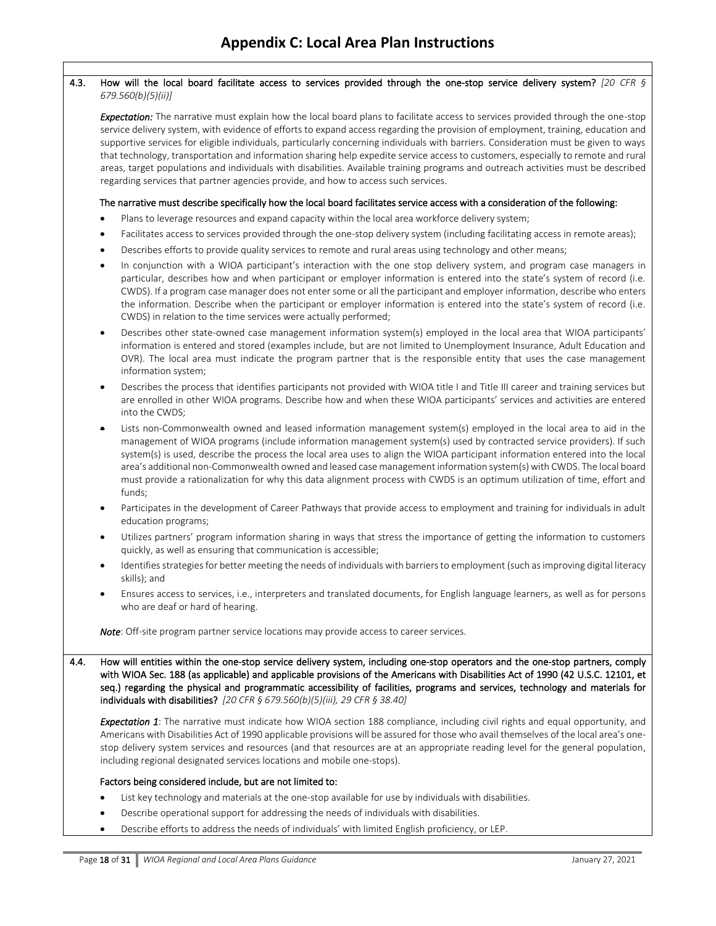## 4.3. How will the local board facilitate access to services provided through the one-stop service delivery system? *[20 CFR § 679.560(b)(5)(ii)] Expectation:* The narrative must explain how the local board plans to facilitate access to services provided through the one-stop service delivery system, with evidence of efforts to expand access regarding the provision of employment, training, education and supportive services for eligible individuals, particularly concerning individuals with barriers. Consideration must be given to ways that technology, transportation and information sharing help expedite service access to customers, especially to remote and rural areas, target populations and individuals with disabilities. Available training programs and outreach activities must be described regarding services that partner agencies provide, and how to access such services. The narrative must describe specifically how the local board facilitates service access with a consideration of the following: Plans to leverage resources and expand capacity within the local area workforce delivery system; • Facilitates access to services provided through the one-stop delivery system (including facilitating access in remote areas); • Describes efforts to provide quality services to remote and rural areas using technology and other means; • In conjunction with a WIOA participant's interaction with the one stop delivery system, and program case managers in particular, describes how and when participant or employer information is entered into the state's system of record (i.e. CWDS). If a program case manager does not enter some or all the participant and employer information, describe who enters the information. Describe when the participant or employer information is entered into the state's system of record (i.e. CWDS) in relation to the time services were actually performed; • Describes other state-owned case management information system(s) employed in the local area that WIOA participants' information is entered and stored (examples include, but are not limited to Unemployment Insurance, Adult Education and OVR). The local area must indicate the program partner that is the responsible entity that uses the case management information system; • Describes the process that identifies participants not provided with WIOA title I and Title III career and training services but are enrolled in other WIOA programs. Describe how and when these WIOA participants' services and activities are entered into the CWDS; • Lists non-Commonwealth owned and leased information management system(s) employed in the local area to aid in the management of WIOA programs (include information management system(s) used by contracted service providers). If such system(s) is used, describe the process the local area uses to align the WIOA participant information entered into the local area's additional non-Commonwealth owned and leased case management information system(s) with CWDS. The local board must provide a rationalization for why this data alignment process with CWDS is an optimum utilization of time, effort and funds; • Participates in the development of Career Pathways that provide access to employment and training for individuals in adult education programs; Utilizes partners' program information sharing in ways that stress the importance of getting the information to customers quickly, as well as ensuring that communication is accessible; • Identifies strategies for better meeting the needs of individuals with barriers to employment (such as improving digital literacy skills); and • Ensures access to services, i.e., interpreters and translated documents, for English language learners, as well as for persons who are deaf or hard of hearing. *Note*: Off-site program partner service locations may provide access to career services. 4.4. How will entities within the one-stop service delivery system, including one-stop operators and the one-stop partners, comply with WIOA Sec. 188 (as applicable) and applicable provisions of the Americans with Disabilities Act of 1990 (42 U.S.C. 12101, et seq.) regarding the physical and programmatic accessibility of facilities, programs and services, technology and materials for individuals with disabilities? *[20 CFR § 679.560(b)(5)(iii), 29 CFR § 38.40] Expectation 1*: The narrative must indicate how WIOA section 188 compliance, including civil rights and equal opportunity, and Americans with Disabilities Act of 1990 applicable provisions will be assured for those who avail themselves of the local area's onestop delivery system services and resources (and that resources are at an appropriate reading level for the general population, including regional designated services locations and mobile one-stops). Factors being considered include, but are not limited to: List key technology and materials at the one-stop available for use by individuals with disabilities.

- Describe operational support for addressing the needs of individuals with disabilities.
- Describe efforts to address the needs of individuals' with limited English proficiency, or LEP.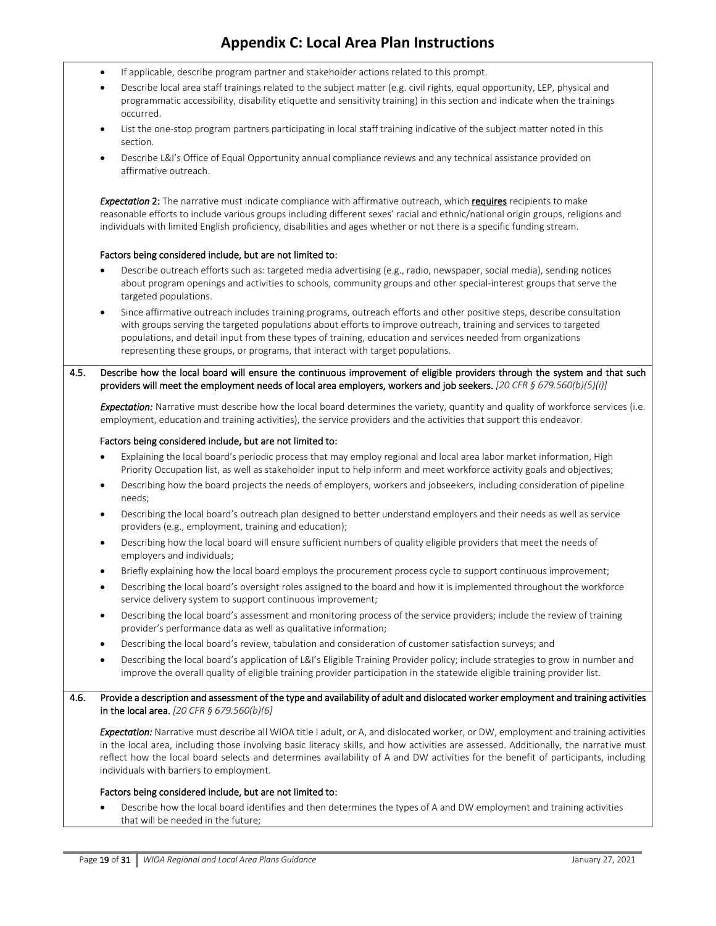- If applicable, describe program partner and stakeholder actions related to this prompt.
- Describe local area staff trainings related to the subject matter (e.g. civil rights, equal opportunity, LEP, physical and programmatic accessibility, disability etiquette and sensitivity training) in this section and indicate when the trainings occurred.
- List the one-stop program partners participating in local staff training indicative of the subject matter noted in this section.
- Describe L&I's Office of Equal Opportunity annual compliance reviews and any technical assistance provided on affirmative outreach.

*Expectation* 2: The narrative must indicate compliance with affirmative outreach, which requires recipients to make reasonable efforts to include various groups including different sexes' racial and ethnic/national origin groups, religions and individuals with limited English proficiency, disabilities and ages whether or not there is a specific funding stream.

#### Factors being considered include, but are not limited to:

- Describe outreach efforts such as: targeted media advertising (e.g., radio, newspaper, social media), sending notices about program openings and activities to schools, community groups and other special-interest groups that serve the targeted populations.
- Since affirmative outreach includes training programs, outreach efforts and other positive steps, describe consultation with groups serving the targeted populations about efforts to improve outreach, training and services to targeted populations, and detail input from these types of training, education and services needed from organizations representing these groups, or programs, that interact with target populations.
- 4.5. Describe how the local board will ensure the continuous improvement of eligible providers through the system and that such providers will meet the employment needs of local area employers, workers and job seekers. *[20 CFR § 679.560(b)(5)(i)]*

*Expectation:* Narrative must describe how the local board determines the variety, quantity and quality of workforce services (i.e. employment, education and training activities), the service providers and the activities that support this endeavor.

#### Factors being considered include, but are not limited to:

- Explaining the local board's periodic process that may employ regional and local area labor market information, High Priority Occupation list, as well as stakeholder input to help inform and meet workforce activity goals and objectives;
- Describing how the board projects the needs of employers, workers and jobseekers, including consideration of pipeline needs;
- Describing the local board's outreach plan designed to better understand employers and their needs as well as service providers (e.g., employment, training and education);
- Describing how the local board will ensure sufficient numbers of quality eligible providers that meet the needs of employers and individuals;
- Briefly explaining how the local board employs the procurement process cycle to support continuous improvement;
- Describing the local board's oversight roles assigned to the board and how it is implemented throughout the workforce service delivery system to support continuous improvement;
- Describing the local board's assessment and monitoring process of the service providers; include the review of training provider's performance data as well as qualitative information;
- Describing the local board's review, tabulation and consideration of customer satisfaction surveys; and
- Describing the local board's application of L&I's Eligible Training Provider policy; include strategies to grow in number and improve the overall quality of eligible training provider participation in the statewide eligible training provider list.
- 4.6. Provide a description and assessment of the type and availability of adult and dislocated worker employment and training activities in the local area. *[20 CFR § 679.560(b)(6]*

*Expectation:* Narrative must describe all WIOA title I adult, or A, and dislocated worker, or DW, employment and training activities in the local area, including those involving basic literacy skills, and how activities are assessed. Additionally, the narrative must reflect how the local board selects and determines availability of A and DW activities for the benefit of participants, including individuals with barriers to employment.

#### Factors being considered include, but are not limited to:

• Describe how the local board identifies and then determines the types of A and DW employment and training activities that will be needed in the future;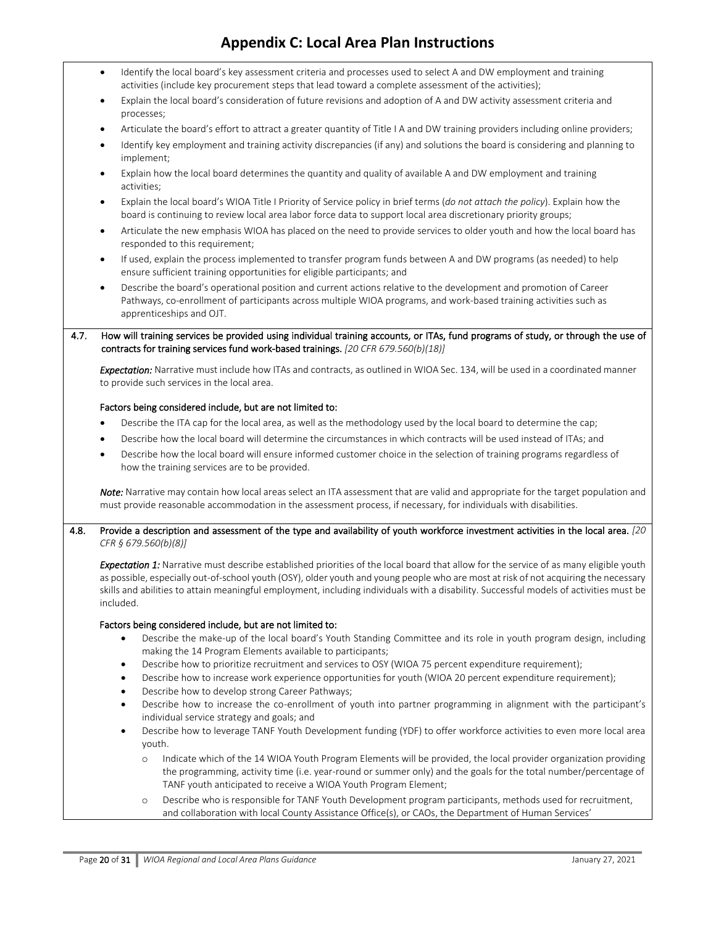|      | $\bullet$                                  |                                                                                                                                                                                                                                                                                                                                                                                                                                     | Identify the local board's key assessment criteria and processes used to select A and DW employment and training<br>activities (include key procurement steps that lead toward a complete assessment of the activities);                                                                                |  |  |
|------|--------------------------------------------|-------------------------------------------------------------------------------------------------------------------------------------------------------------------------------------------------------------------------------------------------------------------------------------------------------------------------------------------------------------------------------------------------------------------------------------|---------------------------------------------------------------------------------------------------------------------------------------------------------------------------------------------------------------------------------------------------------------------------------------------------------|--|--|
|      | ٠                                          |                                                                                                                                                                                                                                                                                                                                                                                                                                     | Explain the local board's consideration of future revisions and adoption of A and DW activity assessment criteria and                                                                                                                                                                                   |  |  |
|      | $\bullet$                                  | processes;                                                                                                                                                                                                                                                                                                                                                                                                                          | Articulate the board's effort to attract a greater quantity of Title I A and DW training providers including online providers;                                                                                                                                                                          |  |  |
|      | $\bullet$                                  |                                                                                                                                                                                                                                                                                                                                                                                                                                     | Identify key employment and training activity discrepancies (if any) and solutions the board is considering and planning to                                                                                                                                                                             |  |  |
|      |                                            | implement;                                                                                                                                                                                                                                                                                                                                                                                                                          |                                                                                                                                                                                                                                                                                                         |  |  |
|      | ٠                                          | activities;                                                                                                                                                                                                                                                                                                                                                                                                                         | Explain how the local board determines the quantity and quality of available A and DW employment and training                                                                                                                                                                                           |  |  |
|      | ٠                                          |                                                                                                                                                                                                                                                                                                                                                                                                                                     | Explain the local board's WIOA Title I Priority of Service policy in brief terms (do not attach the policy). Explain how the<br>board is continuing to review local area labor force data to support local area discretionary priority groups;                                                          |  |  |
|      | $\bullet$                                  |                                                                                                                                                                                                                                                                                                                                                                                                                                     | Articulate the new emphasis WIOA has placed on the need to provide services to older youth and how the local board has<br>responded to this requirement;                                                                                                                                                |  |  |
|      | $\bullet$                                  |                                                                                                                                                                                                                                                                                                                                                                                                                                     | If used, explain the process implemented to transfer program funds between A and DW programs (as needed) to help<br>ensure sufficient training opportunities for eligible participants; and                                                                                                             |  |  |
|      | $\bullet$                                  |                                                                                                                                                                                                                                                                                                                                                                                                                                     | Describe the board's operational position and current actions relative to the development and promotion of Career<br>Pathways, co-enrollment of participants across multiple WIOA programs, and work-based training activities such as<br>apprenticeships and OJT.                                      |  |  |
| 4.7. |                                            |                                                                                                                                                                                                                                                                                                                                                                                                                                     | How will training services be provided using individual training accounts, or ITAs, fund programs of study, or through the use of<br>contracts for training services fund work-based trainings. [20 CFR 679.560(b)(18)]                                                                                 |  |  |
|      |                                            |                                                                                                                                                                                                                                                                                                                                                                                                                                     | Expectation: Narrative must include how ITAs and contracts, as outlined in WIOA Sec. 134, will be used in a coordinated manner<br>to provide such services in the local area.                                                                                                                           |  |  |
|      |                                            |                                                                                                                                                                                                                                                                                                                                                                                                                                     | Factors being considered include, but are not limited to:                                                                                                                                                                                                                                               |  |  |
|      | ٠                                          |                                                                                                                                                                                                                                                                                                                                                                                                                                     | Describe the ITA cap for the local area, as well as the methodology used by the local board to determine the cap;                                                                                                                                                                                       |  |  |
|      | $\bullet$                                  |                                                                                                                                                                                                                                                                                                                                                                                                                                     | Describe how the local board will determine the circumstances in which contracts will be used instead of ITAs; and                                                                                                                                                                                      |  |  |
|      | $\bullet$                                  |                                                                                                                                                                                                                                                                                                                                                                                                                                     | Describe how the local board will ensure informed customer choice in the selection of training programs regardless of<br>how the training services are to be provided.                                                                                                                                  |  |  |
|      |                                            |                                                                                                                                                                                                                                                                                                                                                                                                                                     | Note: Narrative may contain how local areas select an ITA assessment that are valid and appropriate for the target population and<br>must provide reasonable accommodation in the assessment process, if necessary, for individuals with disabilities.                                                  |  |  |
| 4.8. |                                            |                                                                                                                                                                                                                                                                                                                                                                                                                                     | Provide a description and assessment of the type and availability of youth workforce investment activities in the local area. [20<br>CFR § 679.560(b)(8)]                                                                                                                                               |  |  |
|      |                                            | Expectation 1: Narrative must describe established priorities of the local board that allow for the service of as many eligible youth<br>as possible, especially out-of-school youth (OSY), older youth and young people who are most at risk of not acquiring the necessary<br>skills and abilities to attain meaningful employment, including individuals with a disability. Successful models of activities must be<br>included. |                                                                                                                                                                                                                                                                                                         |  |  |
|      | $\bullet$                                  |                                                                                                                                                                                                                                                                                                                                                                                                                                     | Factors being considered include, but are not limited to:<br>Describe the make-up of the local board's Youth Standing Committee and its role in youth program design, including                                                                                                                         |  |  |
|      |                                            |                                                                                                                                                                                                                                                                                                                                                                                                                                     | making the 14 Program Elements available to participants;                                                                                                                                                                                                                                               |  |  |
|      | $\bullet$                                  |                                                                                                                                                                                                                                                                                                                                                                                                                                     | Describe how to prioritize recruitment and services to OSY (WIOA 75 percent expenditure requirement);                                                                                                                                                                                                   |  |  |
|      | $\bullet$<br>$\bullet$                     |                                                                                                                                                                                                                                                                                                                                                                                                                                     | Describe how to increase work experience opportunities for youth (WIOA 20 percent expenditure requirement);<br>Describe how to develop strong Career Pathways;                                                                                                                                          |  |  |
|      | $\bullet$                                  |                                                                                                                                                                                                                                                                                                                                                                                                                                     | Describe how to increase the co-enrollment of youth into partner programming in alignment with the participant's                                                                                                                                                                                        |  |  |
|      | individual service strategy and goals; and |                                                                                                                                                                                                                                                                                                                                                                                                                                     |                                                                                                                                                                                                                                                                                                         |  |  |
|      | $\bullet$                                  | youth.                                                                                                                                                                                                                                                                                                                                                                                                                              | Describe how to leverage TANF Youth Development funding (YDF) to offer workforce activities to even more local area                                                                                                                                                                                     |  |  |
|      |                                            | $\circ$                                                                                                                                                                                                                                                                                                                                                                                                                             | Indicate which of the 14 WIOA Youth Program Elements will be provided, the local provider organization providing<br>the programming, activity time (i.e. year-round or summer only) and the goals for the total number/percentage of<br>TANF youth anticipated to receive a WIOA Youth Program Element; |  |  |
|      |                                            | $\circ$                                                                                                                                                                                                                                                                                                                                                                                                                             | Describe who is responsible for TANF Youth Development program participants, methods used for recruitment,<br>and collaboration with local County Assistance Office(s), or CAOs, the Department of Human Services'                                                                                      |  |  |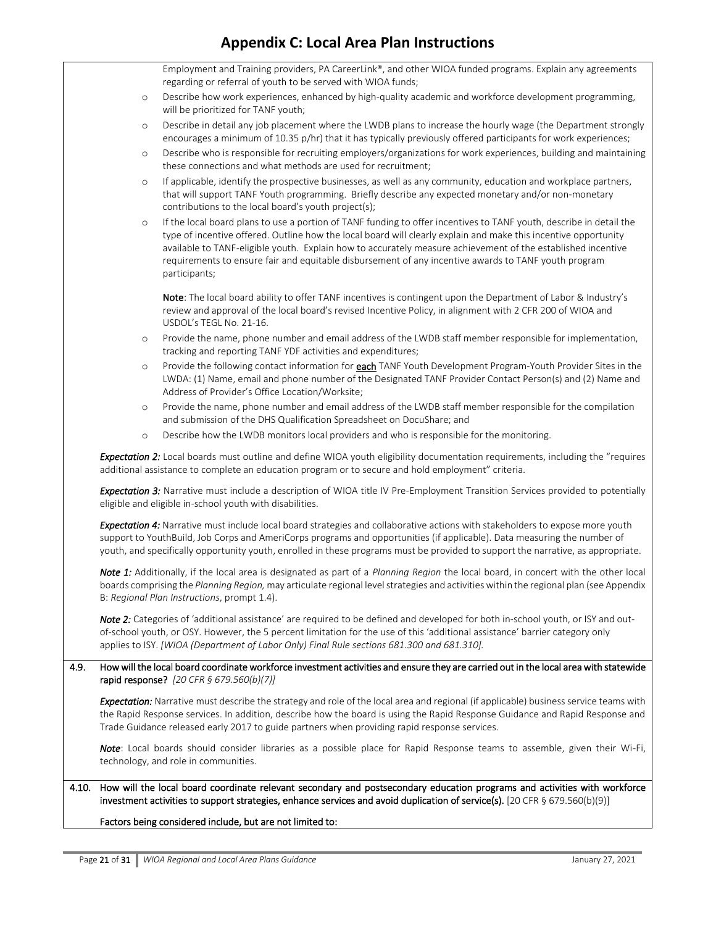|       |         | Employment and Training providers, PA CareerLink®, and other WIOA funded programs. Explain any agreements<br>regarding or referral of youth to be served with WIOA funds;                                                                                                                                                                                                                                                                                                       |
|-------|---------|---------------------------------------------------------------------------------------------------------------------------------------------------------------------------------------------------------------------------------------------------------------------------------------------------------------------------------------------------------------------------------------------------------------------------------------------------------------------------------|
|       | $\circ$ | Describe how work experiences, enhanced by high-quality academic and workforce development programming,                                                                                                                                                                                                                                                                                                                                                                         |
|       |         | will be prioritized for TANF youth;                                                                                                                                                                                                                                                                                                                                                                                                                                             |
|       | $\circ$ | Describe in detail any job placement where the LWDB plans to increase the hourly wage (the Department strongly                                                                                                                                                                                                                                                                                                                                                                  |
|       |         | encourages a minimum of 10.35 p/hr) that it has typically previously offered participants for work experiences;                                                                                                                                                                                                                                                                                                                                                                 |
|       | $\circ$ | Describe who is responsible for recruiting employers/organizations for work experiences, building and maintaining<br>these connections and what methods are used for recruitment;                                                                                                                                                                                                                                                                                               |
|       | $\circ$ | If applicable, identify the prospective businesses, as well as any community, education and workplace partners,<br>that will support TANF Youth programming. Briefly describe any expected monetary and/or non-monetary<br>contributions to the local board's youth project(s);                                                                                                                                                                                                 |
|       | $\circ$ | If the local board plans to use a portion of TANF funding to offer incentives to TANF youth, describe in detail the<br>type of incentive offered. Outline how the local board will clearly explain and make this incentive opportunity<br>available to TANF-eligible youth. Explain how to accurately measure achievement of the established incentive<br>requirements to ensure fair and equitable disbursement of any incentive awards to TANF youth program<br>participants; |
|       |         | Note: The local board ability to offer TANF incentives is contingent upon the Department of Labor & Industry's<br>review and approval of the local board's revised Incentive Policy, in alignment with 2 CFR 200 of WIOA and<br>USDOL's TEGL No. 21-16.                                                                                                                                                                                                                         |
|       | $\circ$ | Provide the name, phone number and email address of the LWDB staff member responsible for implementation,<br>tracking and reporting TANF YDF activities and expenditures;                                                                                                                                                                                                                                                                                                       |
|       | $\circ$ | Provide the following contact information for <b>each</b> TANF Youth Development Program-Youth Provider Sites in the<br>LWDA: (1) Name, email and phone number of the Designated TANF Provider Contact Person(s) and (2) Name and<br>Address of Provider's Office Location/Worksite;                                                                                                                                                                                            |
|       | $\circ$ | Provide the name, phone number and email address of the LWDB staff member responsible for the compilation<br>and submission of the DHS Qualification Spreadsheet on DocuShare; and                                                                                                                                                                                                                                                                                              |
|       | $\circ$ | Describe how the LWDB monitors local providers and who is responsible for the monitoring.                                                                                                                                                                                                                                                                                                                                                                                       |
|       |         | Expectation 2: Local boards must outline and define WIOA youth eligibility documentation requirements, including the "requires<br>additional assistance to complete an education program or to secure and hold employment" criteria.                                                                                                                                                                                                                                            |
|       |         | Expectation 3: Narrative must include a description of WIOA title IV Pre-Employment Transition Services provided to potentially<br>eligible and eligible in-school youth with disabilities.                                                                                                                                                                                                                                                                                     |
|       |         | Expectation 4: Narrative must include local board strategies and collaborative actions with stakeholders to expose more youth<br>support to YouthBuild, Job Corps and AmeriCorps programs and opportunities (if applicable). Data measuring the number of<br>youth, and specifically opportunity youth, enrolled in these programs must be provided to support the narrative, as appropriate.                                                                                   |
|       |         | Note 1: Additionally, if the local area is designated as part of a Planning Region the local board, in concert with the other local<br>boards comprising the Planning Region, may articulate regional level strategies and activities within the regional plan (see Appendix<br>B: Regional Plan Instructions, prompt 1.4).                                                                                                                                                     |
|       |         | Note 2: Categories of 'additional assistance' are required to be defined and developed for both in-school youth, or ISY and out-<br>of-school youth, or OSY. However, the 5 percent limitation for the use of this 'additional assistance' barrier category only<br>applies to ISY. [WIOA (Department of Labor Only) Final Rule sections 681.300 and 681.310].                                                                                                                  |
| 4.9.  |         | How will the local board coordinate workforce investment activities and ensure they are carried out in the local area with statewide<br>rapid response? $[20 \text{ CFR } \frac{6}{9} \frac{679.560(b)}{7}]$                                                                                                                                                                                                                                                                    |
|       |         | Expectation: Narrative must describe the strategy and role of the local area and regional (if applicable) business service teams with<br>the Rapid Response services. In addition, describe how the board is using the Rapid Response Guidance and Rapid Response and<br>Trade Guidance released early 2017 to guide partners when providing rapid response services.                                                                                                           |
|       |         | Note: Local boards should consider libraries as a possible place for Rapid Response teams to assemble, given their Wi-Fi,<br>technology, and role in communities.                                                                                                                                                                                                                                                                                                               |
| 4.10. |         | How will the local board coordinate relevant secondary and postsecondary education programs and activities with workforce<br>investment activities to support strategies, enhance services and avoid duplication of service(s). [20 CFR § 679.560(b)(9)]                                                                                                                                                                                                                        |
|       |         | Factors being considered include, but are not limited to:                                                                                                                                                                                                                                                                                                                                                                                                                       |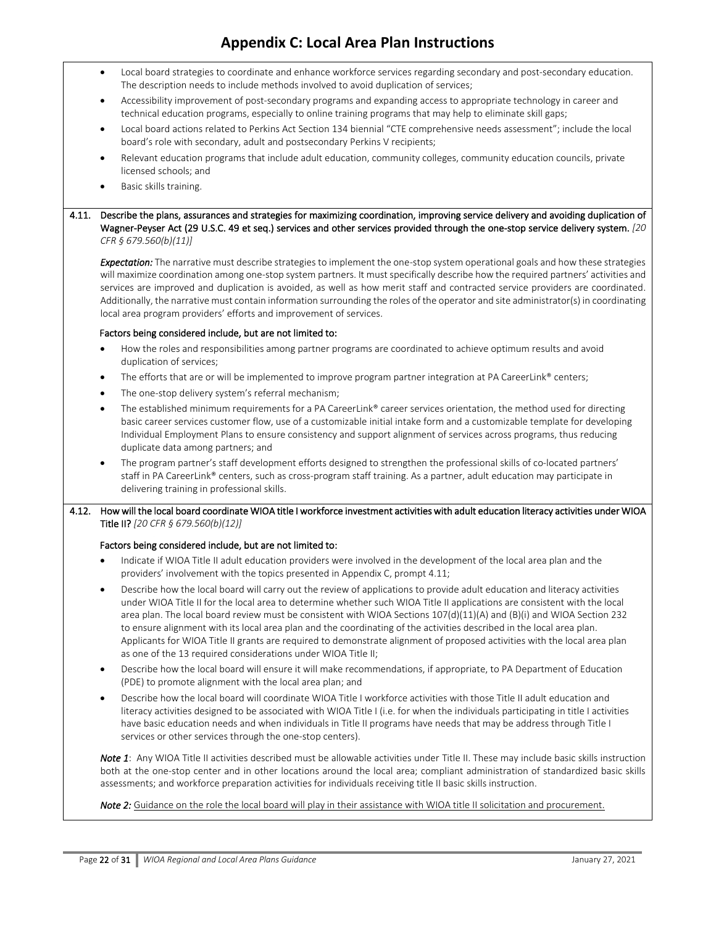|       | Local board strategies to coordinate and enhance workforce services regarding secondary and post-secondary education.<br>$\bullet$<br>The description needs to include methods involved to avoid duplication of services;                                                                                                                                                                                                                                                                                                                                                                                                                                                                                   |  |  |  |  |
|-------|-------------------------------------------------------------------------------------------------------------------------------------------------------------------------------------------------------------------------------------------------------------------------------------------------------------------------------------------------------------------------------------------------------------------------------------------------------------------------------------------------------------------------------------------------------------------------------------------------------------------------------------------------------------------------------------------------------------|--|--|--|--|
|       | Accessibility improvement of post-secondary programs and expanding access to appropriate technology in career and<br>٠<br>technical education programs, especially to online training programs that may help to eliminate skill gaps;                                                                                                                                                                                                                                                                                                                                                                                                                                                                       |  |  |  |  |
|       | Local board actions related to Perkins Act Section 134 biennial "CTE comprehensive needs assessment"; include the local<br>$\bullet$<br>board's role with secondary, adult and postsecondary Perkins V recipients;                                                                                                                                                                                                                                                                                                                                                                                                                                                                                          |  |  |  |  |
|       | Relevant education programs that include adult education, community colleges, community education councils, private<br>$\bullet$<br>licensed schools; and                                                                                                                                                                                                                                                                                                                                                                                                                                                                                                                                                   |  |  |  |  |
|       | Basic skills training.<br>$\bullet$                                                                                                                                                                                                                                                                                                                                                                                                                                                                                                                                                                                                                                                                         |  |  |  |  |
| 4.11. | Describe the plans, assurances and strategies for maximizing coordination, improving service delivery and avoiding duplication of<br>Wagner-Peyser Act (29 U.S.C. 49 et seq.) services and other services provided through the one-stop service delivery system. [20<br>CFR § 679.560(b)(11)]                                                                                                                                                                                                                                                                                                                                                                                                               |  |  |  |  |
|       | Expectation: The narrative must describe strategies to implement the one-stop system operational goals and how these strategies<br>will maximize coordination among one-stop system partners. It must specifically describe how the required partners' activities and<br>services are improved and duplication is avoided, as well as how merit staff and contracted service providers are coordinated.<br>Additionally, the narrative must contain information surrounding the roles of the operator and site administrator(s) in coordinating<br>local area program providers' efforts and improvement of services.                                                                                       |  |  |  |  |
|       | Factors being considered include, but are not limited to:                                                                                                                                                                                                                                                                                                                                                                                                                                                                                                                                                                                                                                                   |  |  |  |  |
|       | How the roles and responsibilities among partner programs are coordinated to achieve optimum results and avoid<br>$\bullet$<br>duplication of services;                                                                                                                                                                                                                                                                                                                                                                                                                                                                                                                                                     |  |  |  |  |
|       | The efforts that are or will be implemented to improve program partner integration at PA CareerLink® centers;<br>$\bullet$                                                                                                                                                                                                                                                                                                                                                                                                                                                                                                                                                                                  |  |  |  |  |
|       | The one-stop delivery system's referral mechanism;<br>$\bullet$                                                                                                                                                                                                                                                                                                                                                                                                                                                                                                                                                                                                                                             |  |  |  |  |
|       | The established minimum requirements for a PA CareerLink® career services orientation, the method used for directing<br>$\bullet$<br>basic career services customer flow, use of a customizable initial intake form and a customizable template for developing<br>Individual Employment Plans to ensure consistency and support alignment of services across programs, thus reducing<br>duplicate data among partners; and                                                                                                                                                                                                                                                                                  |  |  |  |  |
|       | The program partner's staff development efforts designed to strengthen the professional skills of co-located partners'<br>staff in PA CareerLink® centers, such as cross-program staff training. As a partner, adult education may participate in<br>delivering training in professional skills.                                                                                                                                                                                                                                                                                                                                                                                                            |  |  |  |  |
| 4.12. | How will the local board coordinate WIOA title I workforce investment activities with adult education literacy activities under WIOA<br>Title II? [20 CFR § 679.560(b)(12)]                                                                                                                                                                                                                                                                                                                                                                                                                                                                                                                                 |  |  |  |  |
|       | Factors being considered include, but are not limited to:                                                                                                                                                                                                                                                                                                                                                                                                                                                                                                                                                                                                                                                   |  |  |  |  |
|       | Indicate if WIOA Title II adult education providers were involved in the development of the local area plan and the<br>providers' involvement with the topics presented in Appendix C, prompt 4.11;                                                                                                                                                                                                                                                                                                                                                                                                                                                                                                         |  |  |  |  |
|       | Describe how the local board will carry out the review of applications to provide adult education and literacy activities<br>٠<br>under WIOA Title II for the local area to determine whether such WIOA Title II applications are consistent with the local<br>area plan. The local board review must be consistent with WIOA Sections 107(d)(11)(A) and (B)(i) and WIOA Section 232<br>to ensure alignment with its local area plan and the coordinating of the activities described in the local area plan.<br>Applicants for WIOA Title II grants are required to demonstrate alignment of proposed activities with the local area plan<br>as one of the 13 required considerations under WIOA Title II; |  |  |  |  |
|       | Describe how the local board will ensure it will make recommendations, if appropriate, to PA Department of Education<br>$\bullet$<br>(PDE) to promote alignment with the local area plan; and                                                                                                                                                                                                                                                                                                                                                                                                                                                                                                               |  |  |  |  |
|       | Describe how the local board will coordinate WIOA Title I workforce activities with those Title II adult education and<br>$\bullet$<br>literacy activities designed to be associated with WIOA Title I (i.e. for when the individuals participating in title I activities<br>have basic education needs and when individuals in Title II programs have needs that may be address through Title I<br>services or other services through the one-stop centers).                                                                                                                                                                                                                                               |  |  |  |  |
|       | Note 1: Any WIOA Title II activities described must be allowable activities under Title II. These may include basic skills instruction<br>both at the one-stop center and in other locations around the local area; compliant administration of standardized basic skills<br>assessments; and workforce preparation activities for individuals receiving title II basic skills instruction.                                                                                                                                                                                                                                                                                                                 |  |  |  |  |
|       | Note 2: Guidance on the role the local board will play in their assistance with WIOA title II solicitation and procurement.                                                                                                                                                                                                                                                                                                                                                                                                                                                                                                                                                                                 |  |  |  |  |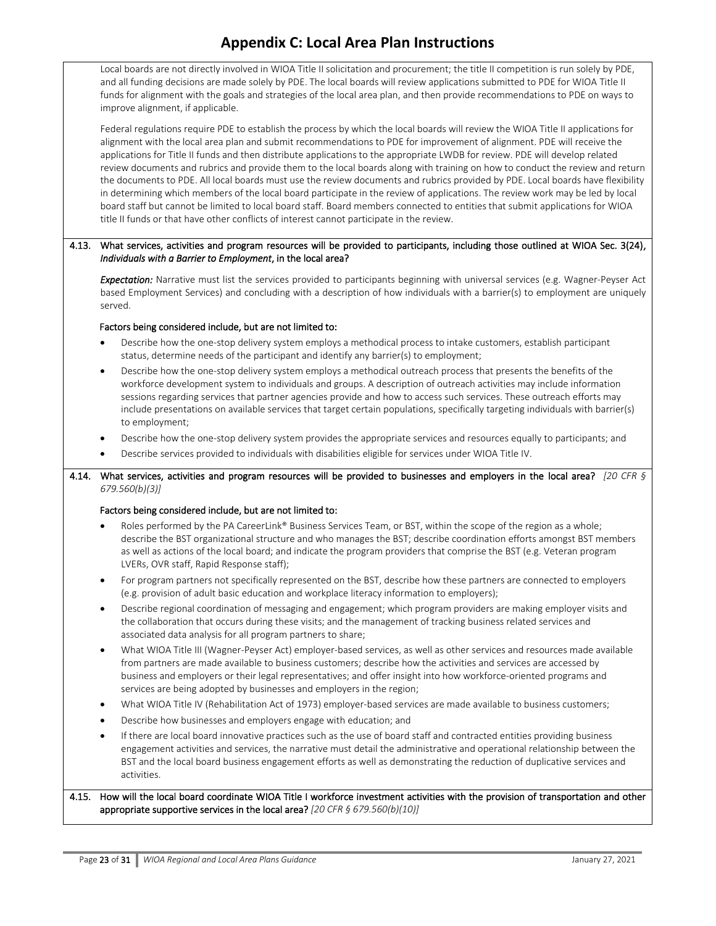Local boards are not directly involved in WIOA Title II solicitation and procurement; the title II competition is run solely by PDE, and all funding decisions are made solely by PDE. The local boards will review applications submitted to PDE for WIOA Title II funds for alignment with the goals and strategies of the local area plan, and then provide recommendations to PDE on ways to improve alignment, if applicable.

Federal regulations require PDE to establish the process by which the local boards will review the WIOA Title II applications for alignment with the local area plan and submit recommendations to PDE for improvement of alignment. PDE will receive the applications for Title II funds and then distribute applications to the appropriate LWDB for review. PDE will develop related review documents and rubrics and provide them to the local boards along with training on how to conduct the review and return the documents to PDE. All local boards must use the review documents and rubrics provided by PDE. Local boards have flexibility in determining which members of the local board participate in the review of applications. The review work may be led by local board staff but cannot be limited to local board staff. Board members connected to entities that submit applications for WIOA title II funds or that have other conflicts of interest cannot participate in the review.

#### 4.13. What services, activities and program resources will be provided to participants, including those outlined at WIOA Sec. 3(24), *Individuals with a Barrier to Employment*, in the local area?

*Expectation:* Narrative must list the services provided to participants beginning with universal services (e.g. Wagner-Peyser Act based Employment Services) and concluding with a description of how individuals with a barrier(s) to employment are uniquely served.

#### Factors being considered include, but are not limited to:

- Describe how the one-stop delivery system employs a methodical process to intake customers, establish participant status, determine needs of the participant and identify any barrier(s) to employment;
- Describe how the one-stop delivery system employs a methodical outreach process that presents the benefits of the workforce development system to individuals and groups. A description of outreach activities may include information sessions regarding services that partner agencies provide and how to access such services. These outreach efforts may include presentations on available services that target certain populations, specifically targeting individuals with barrier(s) to employment;
- Describe how the one-stop delivery system provides the appropriate services and resources equally to participants; and
- Describe services provided to individuals with disabilities eligible for services under WIOA Title IV.

#### 4.14. What services, activities and program resources will be provided to businesses and employers in the local area? *[20 CFR § 679.560(b)(3)]*

#### Factors being considered include, but are not limited to:

- Roles performed by the PA CareerLink® Business Services Team, or BST, within the scope of the region as a whole; describe the BST organizational structure and who manages the BST; describe coordination efforts amongst BST members as well as actions of the local board; and indicate the program providers that comprise the BST (e.g. Veteran program LVERs, OVR staff, Rapid Response staff);
- For program partners not specifically represented on the BST, describe how these partners are connected to employers (e.g. provision of adult basic education and workplace literacy information to employers);
- Describe regional coordination of messaging and engagement; which program providers are making employer visits and the collaboration that occurs during these visits; and the management of tracking business related services and associated data analysis for all program partners to share;
- What WIOA Title III (Wagner-Peyser Act) employer-based services, as well as other services and resources made available from partners are made available to business customers; describe how the activities and services are accessed by business and employers or their legal representatives; and offer insight into how workforce-oriented programs and services are being adopted by businesses and employers in the region;
- What WIOA Title IV (Rehabilitation Act of 1973) employer-based services are made available to business customers;
- Describe how businesses and employers engage with education; and
- If there are local board innovative practices such as the use of board staff and contracted entities providing business engagement activities and services, the narrative must detail the administrative and operational relationship between the BST and the local board business engagement efforts as well as demonstrating the reduction of duplicative services and activities.

#### 4.15. How will the local board coordinate WIOA Title I workforce investment activities with the provision of transportation and other appropriate supportive services in the local area? *[20 CFR § 679.560(b)(10)]*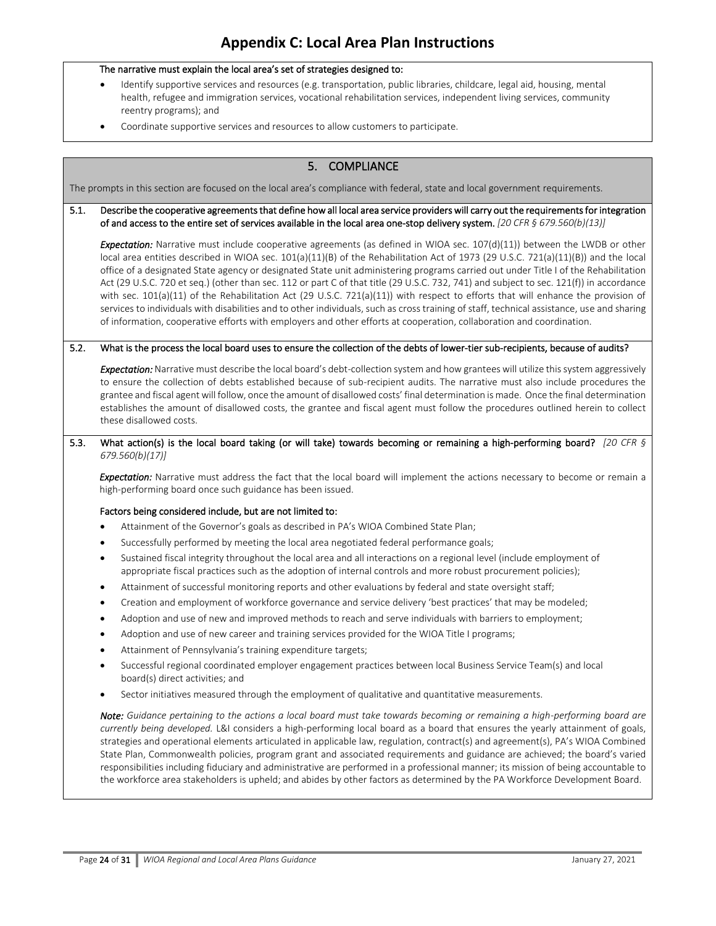- Identify supportive services and resources (e.g. transportation, public libraries, childcare, legal aid, housing, mental health, refugee and immigration services, vocational rehabilitation services, independent living services, community reentry programs); and
- Coordinate supportive services and resources to allow customers to participate.

| 5. COMPLIANCE                                                                                                                 |                                                                                                                                                                                                                                                                                                                                                                                                                                                                                                                                                                                                                                                                                                                                                                                                                                                                                                                                                             |  |  |  |  |
|-------------------------------------------------------------------------------------------------------------------------------|-------------------------------------------------------------------------------------------------------------------------------------------------------------------------------------------------------------------------------------------------------------------------------------------------------------------------------------------------------------------------------------------------------------------------------------------------------------------------------------------------------------------------------------------------------------------------------------------------------------------------------------------------------------------------------------------------------------------------------------------------------------------------------------------------------------------------------------------------------------------------------------------------------------------------------------------------------------|--|--|--|--|
| The prompts in this section are focused on the local area's compliance with federal, state and local government requirements. |                                                                                                                                                                                                                                                                                                                                                                                                                                                                                                                                                                                                                                                                                                                                                                                                                                                                                                                                                             |  |  |  |  |
| 5.1.                                                                                                                          | Describe the cooperative agreements that define how all local area service providers will carry out the requirements for integration<br>of and access to the entire set of services available in the local area one-stop delivery system. [20 CFR § 679.560(b)(13)]                                                                                                                                                                                                                                                                                                                                                                                                                                                                                                                                                                                                                                                                                         |  |  |  |  |
|                                                                                                                               | Expectation: Narrative must include cooperative agreements (as defined in WIOA sec. 107(d)(11)) between the LWDB or other<br>local area entities described in WIOA sec. 101(a)(11)(B) of the Rehabilitation Act of 1973 (29 U.S.C. 721(a)(11)(B)) and the local<br>office of a designated State agency or designated State unit administering programs carried out under Title I of the Rehabilitation<br>Act (29 U.S.C. 720 et seq.) (other than sec. 112 or part C of that title (29 U.S.C. 732, 741) and subject to sec. 121(f)) in accordance<br>with sec. 101(a)(11) of the Rehabilitation Act (29 U.S.C. 721(a)(11)) with respect to efforts that will enhance the provision of<br>services to individuals with disabilities and to other individuals, such as cross training of staff, technical assistance, use and sharing<br>of information, cooperative efforts with employers and other efforts at cooperation, collaboration and coordination. |  |  |  |  |
| 5.2.                                                                                                                          | What is the process the local board uses to ensure the collection of the debts of lower-tier sub-recipients, because of audits?                                                                                                                                                                                                                                                                                                                                                                                                                                                                                                                                                                                                                                                                                                                                                                                                                             |  |  |  |  |
|                                                                                                                               | Expectation: Narrative must describe the local board's debt-collection system and how grantees will utilize this system aggressively<br>to ensure the collection of debts established because of sub-recipient audits. The narrative must also include procedures the<br>grantee and fiscal agent will follow, once the amount of disallowed costs' final determination is made. Once the final determination<br>establishes the amount of disallowed costs, the grantee and fiscal agent must follow the procedures outlined herein to collect<br>these disallowed costs.                                                                                                                                                                                                                                                                                                                                                                                  |  |  |  |  |
| 5.3.                                                                                                                          | What action(s) is the local board taking (or will take) towards becoming or remaining a high-performing board? [20 CFR §                                                                                                                                                                                                                                                                                                                                                                                                                                                                                                                                                                                                                                                                                                                                                                                                                                    |  |  |  |  |
|                                                                                                                               | 679.560(b)(17)]                                                                                                                                                                                                                                                                                                                                                                                                                                                                                                                                                                                                                                                                                                                                                                                                                                                                                                                                             |  |  |  |  |
|                                                                                                                               | Expectation: Narrative must address the fact that the local board will implement the actions necessary to become or remain a<br>high-performing board once such guidance has been issued.                                                                                                                                                                                                                                                                                                                                                                                                                                                                                                                                                                                                                                                                                                                                                                   |  |  |  |  |
|                                                                                                                               | Factors being considered include, but are not limited to:                                                                                                                                                                                                                                                                                                                                                                                                                                                                                                                                                                                                                                                                                                                                                                                                                                                                                                   |  |  |  |  |
|                                                                                                                               | Attainment of the Governor's goals as described in PA's WIOA Combined State Plan;                                                                                                                                                                                                                                                                                                                                                                                                                                                                                                                                                                                                                                                                                                                                                                                                                                                                           |  |  |  |  |
|                                                                                                                               | Successfully performed by meeting the local area negotiated federal performance goals;                                                                                                                                                                                                                                                                                                                                                                                                                                                                                                                                                                                                                                                                                                                                                                                                                                                                      |  |  |  |  |
|                                                                                                                               | Sustained fiscal integrity throughout the local area and all interactions on a regional level (include employment of<br>$\bullet$<br>appropriate fiscal practices such as the adoption of internal controls and more robust procurement policies);                                                                                                                                                                                                                                                                                                                                                                                                                                                                                                                                                                                                                                                                                                          |  |  |  |  |
|                                                                                                                               | Attainment of successful monitoring reports and other evaluations by federal and state oversight staff;<br>$\bullet$                                                                                                                                                                                                                                                                                                                                                                                                                                                                                                                                                                                                                                                                                                                                                                                                                                        |  |  |  |  |
|                                                                                                                               | Creation and employment of workforce governance and service delivery 'best practices' that may be modeled;                                                                                                                                                                                                                                                                                                                                                                                                                                                                                                                                                                                                                                                                                                                                                                                                                                                  |  |  |  |  |
|                                                                                                                               | Adoption and use of new and improved methods to reach and serve individuals with barriers to employment;                                                                                                                                                                                                                                                                                                                                                                                                                                                                                                                                                                                                                                                                                                                                                                                                                                                    |  |  |  |  |
|                                                                                                                               | Adoption and use of new career and training services provided for the WIOA Title I programs;                                                                                                                                                                                                                                                                                                                                                                                                                                                                                                                                                                                                                                                                                                                                                                                                                                                                |  |  |  |  |
|                                                                                                                               | Attainment of Pennsylvania's training expenditure targets;                                                                                                                                                                                                                                                                                                                                                                                                                                                                                                                                                                                                                                                                                                                                                                                                                                                                                                  |  |  |  |  |
|                                                                                                                               | Successful regional coordinated employer engagement practices between local Business Service Team(s) and local<br>board(s) direct activities; and                                                                                                                                                                                                                                                                                                                                                                                                                                                                                                                                                                                                                                                                                                                                                                                                           |  |  |  |  |
|                                                                                                                               | Sector initiatives measured through the employment of qualitative and quantitative measurements.                                                                                                                                                                                                                                                                                                                                                                                                                                                                                                                                                                                                                                                                                                                                                                                                                                                            |  |  |  |  |
|                                                                                                                               | Note: Guidance pertaining to the actions a local board must take towards becoming or remaining a high-performing board are<br>currently being developed. L&I considers a high-performing local board as a board that ensures the yearly attainment of goals,<br>strategies and operational elements articulated in applicable law, regulation, contract(s) and agreement(s), PA's WIOA Combined<br>State Plan, Commonwealth policies, program grant and associated requirements and guidance are achieved; the board's varied<br>responsibilities including fiduciary and administrative are performed in a professional manner; its mission of being accountable to<br>the workforce area stakeholders is upheld; and abides by other factors as determined by the PA Workforce Development Board.                                                                                                                                                         |  |  |  |  |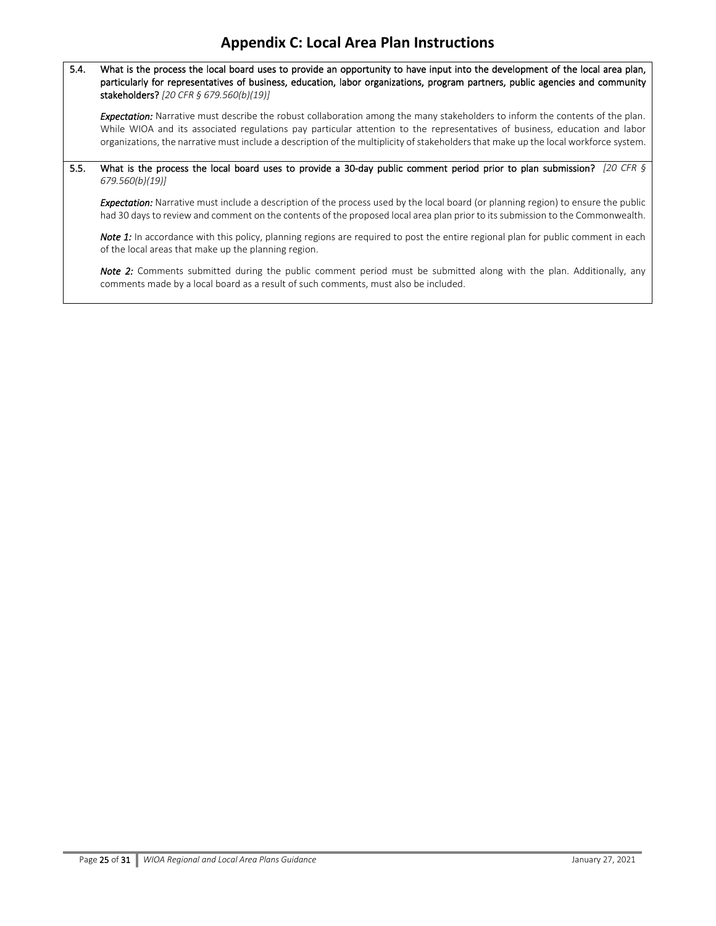5.4. What is the process the local board uses to provide an opportunity to have input into the development of the local area plan, particularly for representatives of business, education, labor organizations, program partners, public agencies and community stakeholders? *[20 CFR § 679.560(b)(19)]* 

*Expectation:* Narrative must describe the robust collaboration among the many stakeholders to inform the contents of the plan. While WIOA and its associated regulations pay particular attention to the representatives of business, education and labor organizations, the narrative must include a description of the multiplicity of stakeholders that make up the local workforce system.

5.5. What is the process the local board uses to provide a 30-day public comment period prior to plan submission? *[20 CFR § 679.560(b)(19)]*

*Expectation:* Narrative must include a description of the process used by the local board (or planning region) to ensure the public had 30 days to review and comment on the contents of the proposed local area plan prior to its submission to the Commonwealth.

*Note 1:* In accordance with this policy, planning regions are required to post the entire regional plan for public comment in each of the local areas that make up the planning region.

*Note 2:* Comments submitted during the public comment period must be submitted along with the plan. Additionally, any comments made by a local board as a result of such comments, must also be included.